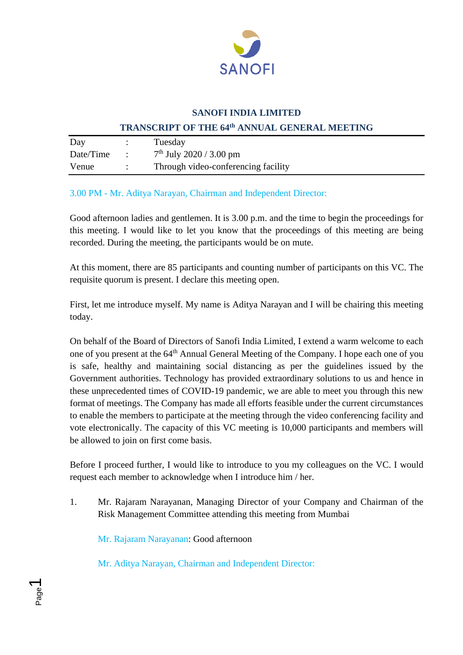

#### **SANOFI INDIA LIMITED**

#### **TRANSCRIPT OF THE 64th ANNUAL GENERAL MEETING**

| Day       | Tuesday                             |
|-----------|-------------------------------------|
| Date/Time | $7th$ July 2020 / 3.00 pm           |
| Venue     | Through video-conferencing facility |

### 3.00 PM - Mr. Aditya Narayan, Chairman and Independent Director:

Good afternoon ladies and gentlemen. It is 3.00 p.m. and the time to begin the proceedings for this meeting. I would like to let you know that the proceedings of this meeting are being recorded. During the meeting, the participants would be on mute.

At this moment, there are 85 participants and counting number of participants on this VC. The requisite quorum is present. I declare this meeting open.

First, let me introduce myself. My name is Aditya Narayan and I will be chairing this meeting today.

On behalf of the Board of Directors of Sanofi India Limited, I extend a warm welcome to each one of you present at the 64<sup>th</sup> Annual General Meeting of the Company. I hope each one of you is safe, healthy and maintaining social distancing as per the guidelines issued by the Government authorities. Technology has provided extraordinary solutions to us and hence in these unprecedented times of COVID-19 pandemic, we are able to meet you through this new format of meetings. The Company has made all efforts feasible under the current circumstances to enable the members to participate at the meeting through the video conferencing facility and vote electronically. The capacity of this VC meeting is 10,000 participants and members will be allowed to join on first come basis.

Before I proceed further, I would like to introduce to you my colleagues on the VC. I would request each member to acknowledge when I introduce him / her.

1. Mr. Rajaram Narayanan, Managing Director of your Company and Chairman of the Risk Management Committee attending this meeting from Mumbai

Mr. Rajaram Narayanan: Good afternoon

Mr. Aditya Narayan, Chairman and Independent Director: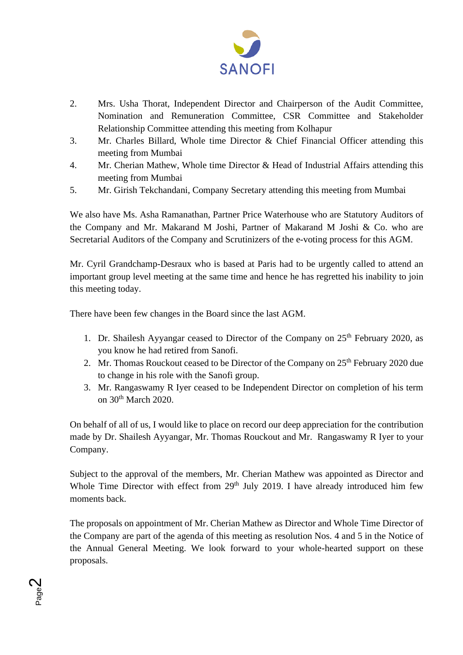

- 2. Mrs. Usha Thorat, Independent Director and Chairperson of the Audit Committee, Nomination and Remuneration Committee, CSR Committee and Stakeholder Relationship Committee attending this meeting from Kolhapur
- 3. Mr. Charles Billard, Whole time Director & Chief Financial Officer attending this meeting from Mumbai
- 4. Mr. Cherian Mathew, Whole time Director & Head of Industrial Affairs attending this meeting from Mumbai
- 5. Mr. Girish Tekchandani, Company Secretary attending this meeting from Mumbai

We also have Ms. Asha Ramanathan, Partner Price Waterhouse who are Statutory Auditors of the Company and Mr. Makarand M Joshi, Partner of Makarand M Joshi & Co. who are Secretarial Auditors of the Company and Scrutinizers of the e-voting process for this AGM.

Mr. Cyril Grandchamp-Desraux who is based at Paris had to be urgently called to attend an important group level meeting at the same time and hence he has regretted his inability to join this meeting today.

There have been few changes in the Board since the last AGM.

- 1. Dr. Shailesh Ayyangar ceased to Director of the Company on  $25<sup>th</sup>$  February 2020, as you know he had retired from Sanofi.
- 2. Mr. Thomas Rouckout ceased to be Director of the Company on 25<sup>th</sup> February 2020 due to change in his role with the Sanofi group.
- 3. Mr. Rangaswamy R Iyer ceased to be Independent Director on completion of his term on 30th March 2020.

On behalf of all of us, I would like to place on record our deep appreciation for the contribution made by Dr. Shailesh Ayyangar, Mr. Thomas Rouckout and Mr. Rangaswamy R Iyer to your Company.

Subject to the approval of the members, Mr. Cherian Mathew was appointed as Director and Whole Time Director with effect from 29<sup>th</sup> July 2019. I have already introduced him few moments back.

The proposals on appointment of Mr. Cherian Mathew as Director and Whole Time Director of the Company are part of the agenda of this meeting as resolution Nos. 4 and 5 in the Notice of the Annual General Meeting. We look forward to your whole-hearted support on these proposals.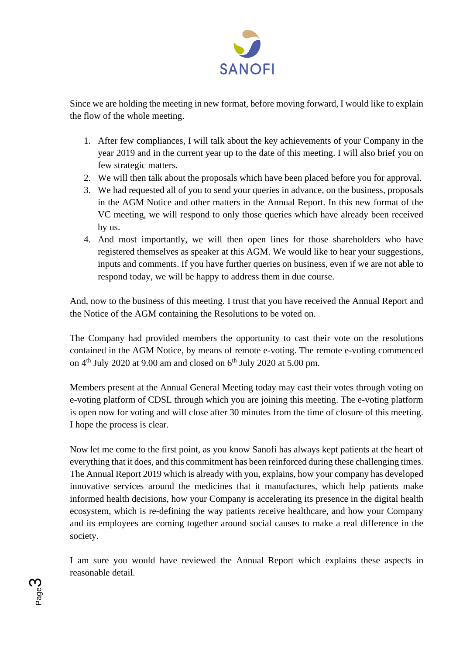

Since we are holding the meeting in new format, before moving forward, I would like to explain the flow of the whole meeting.

- 1. After few compliances, I will talk about the key achievements of your Company in the year 2019 and in the current year up to the date of this meeting. I will also brief you on few strategic matters.
- 2. We will then talk about the proposals which have been placed before you for approval.
- 3. We had requested all of you to send your queries in advance, on the business, proposals in the AGM Notice and other matters in the Annual Report. In this new format of the VC meeting, we will respond to only those queries which have already been received by us.
- 4. And most importantly, we will then open lines for those shareholders who have registered themselves as speaker at this AGM. We would like to hear your suggestions, inputs and comments. If you have further queries on business, even if we are not able to respond today, we will be happy to address them in due course.

And, now to the business of this meeting. I trust that you have received the Annual Report and the Notice of the AGM containing the Resolutions to be voted on.

The Company had provided members the opportunity to cast their vote on the resolutions contained in the AGM Notice, by means of remote e-voting. The remote e-voting commenced on 4<sup>th</sup> July 2020 at 9.00 am and closed on 6<sup>th</sup> July 2020 at 5.00 pm.

Members present at the Annual General Meeting today may cast their votes through voting on e-voting platform of CDSL through which you are joining this meeting. The e-voting platform is open now for voting and will close after 30 minutes from the time of closure of this meeting. I hope the process is clear.

Now let me come to the first point, as you know Sanofi has always kept patients at the heart of everything that it does, and this commitment has been reinforced during these challenging times. The Annual Report 2019 which is already with you, explains, how your company has developed innovative services around the medicines that it manufactures, which help patients make informed health decisions, how your Company is accelerating its presence in the digital health ecosystem, which is re-defining the way patients receive healthcare, and how your Company and its employees are coming together around social causes to make a real difference in the society.

I am sure you would have reviewed the Annual Report which explains these aspects in reasonable detail.

Page ო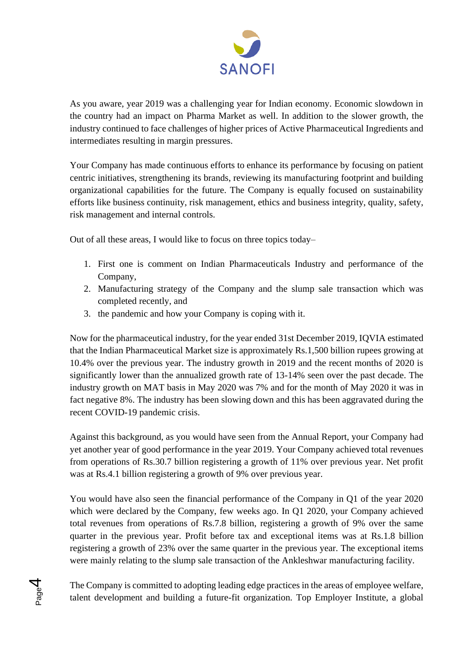

As you aware, year 2019 was a challenging year for Indian economy. Economic slowdown in the country had an impact on Pharma Market as well. In addition to the slower growth, the industry continued to face challenges of higher prices of Active Pharmaceutical Ingredients and intermediates resulting in margin pressures.

Your Company has made continuous efforts to enhance its performance by focusing on patient centric initiatives, strengthening its brands, reviewing its manufacturing footprint and building organizational capabilities for the future. The Company is equally focused on sustainability efforts like business continuity, risk management, ethics and business integrity, quality, safety, risk management and internal controls.

Out of all these areas, I would like to focus on three topics today–

- 1. First one is comment on Indian Pharmaceuticals Industry and performance of the Company,
- 2. Manufacturing strategy of the Company and the slump sale transaction which was completed recently, and
- 3. the pandemic and how your Company is coping with it.

Now for the pharmaceutical industry, for the year ended 31st December 2019, IQVIA estimated that the Indian Pharmaceutical Market size is approximately Rs.1,500 billion rupees growing at 10.4% over the previous year. The industry growth in 2019 and the recent months of 2020 is significantly lower than the annualized growth rate of 13-14% seen over the past decade. The industry growth on MAT basis in May 2020 was 7% and for the month of May 2020 it was in fact negative 8%. The industry has been slowing down and this has been aggravated during the recent COVID-19 pandemic crisis.

Against this background, as you would have seen from the Annual Report, your Company had yet another year of good performance in the year 2019. Your Company achieved total revenues from operations of Rs.30.7 billion registering a growth of 11% over previous year. Net profit was at Rs.4.1 billion registering a growth of 9% over previous year.

You would have also seen the financial performance of the Company in Q1 of the year 2020 which were declared by the Company, few weeks ago. In Q1 2020, your Company achieved total revenues from operations of Rs.7.8 billion, registering a growth of 9% over the same quarter in the previous year. Profit before tax and exceptional items was at Rs.1.8 billion registering a growth of 23% over the same quarter in the previous year. The exceptional items were mainly relating to the slump sale transaction of the Ankleshwar manufacturing facility.

The Company is committed to adopting leading edge practices in the areas of employee welfare, talent development and building a future-fit organization. Top Employer Institute, a global

Page 4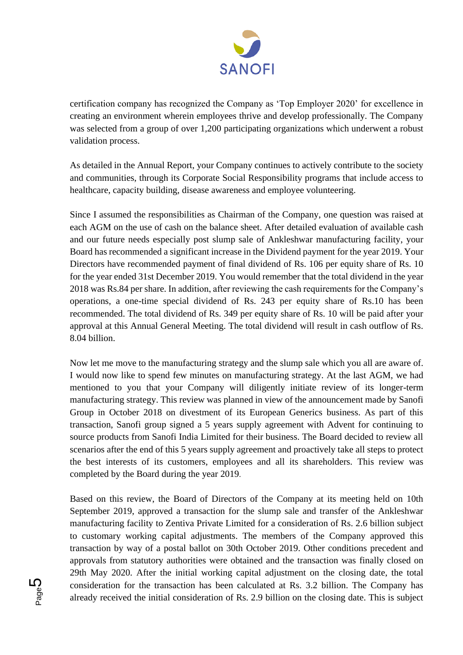

certification company has recognized the Company as 'Top Employer 2020' for excellence in creating an environment wherein employees thrive and develop professionally. The Company was selected from a group of over 1,200 participating organizations which underwent a robust validation process.

As detailed in the Annual Report, your Company continues to actively contribute to the society and communities, through its Corporate Social Responsibility programs that include access to healthcare, capacity building, disease awareness and employee volunteering.

Since I assumed the responsibilities as Chairman of the Company, one question was raised at each AGM on the use of cash on the balance sheet. After detailed evaluation of available cash and our future needs especially post slump sale of Ankleshwar manufacturing facility, your Board has recommended a significant increase in the Dividend payment for the year 2019. Your Directors have recommended payment of final dividend of Rs. 106 per equity share of Rs. 10 for the year ended 31st December 2019. You would remember that the total dividend in the year 2018 was Rs.84 per share. In addition, after reviewing the cash requirements for the Company's operations, a one-time special dividend of Rs. 243 per equity share of Rs.10 has been recommended. The total dividend of Rs. 349 per equity share of Rs. 10 will be paid after your approval at this Annual General Meeting. The total dividend will result in cash outflow of Rs. 8.04 billion.

Now let me move to the manufacturing strategy and the slump sale which you all are aware of. I would now like to spend few minutes on manufacturing strategy. At the last AGM, we had mentioned to you that your Company will diligently initiate review of its longer-term manufacturing strategy. This review was planned in view of the announcement made by Sanofi Group in October 2018 on divestment of its European Generics business. As part of this transaction, Sanofi group signed a 5 years supply agreement with Advent for continuing to source products from Sanofi India Limited for their business. The Board decided to review all scenarios after the end of this 5 years supply agreement and proactively take all steps to protect the best interests of its customers, employees and all its shareholders. This review was completed by the Board during the year 2019.

Based on this review, the Board of Directors of the Company at its meeting held on 10th September 2019, approved a transaction for the slump sale and transfer of the Ankleshwar manufacturing facility to Zentiva Private Limited for a consideration of Rs. 2.6 billion subject to customary working capital adjustments. The members of the Company approved this transaction by way of a postal ballot on 30th October 2019. Other conditions precedent and approvals from statutory authorities were obtained and the transaction was finally closed on 29th May 2020. After the initial working capital adjustment on the closing date, the total consideration for the transaction has been calculated at Rs. 3.2 billion. The Company has already received the initial consideration of Rs. 2.9 billion on the closing date. This is subject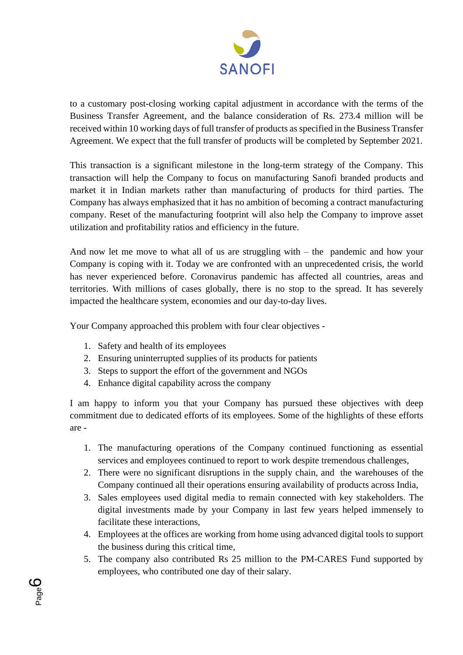

to a customary post-closing working capital adjustment in accordance with the terms of the Business Transfer Agreement, and the balance consideration of Rs. 273.4 million will be received within 10 working days of full transfer of products as specified in the Business Transfer Agreement. We expect that the full transfer of products will be completed by September 2021.

This transaction is a significant milestone in the long-term strategy of the Company. This transaction will help the Company to focus on manufacturing Sanofi branded products and market it in Indian markets rather than manufacturing of products for third parties. The Company has always emphasized that it has no ambition of becoming a contract manufacturing company. Reset of the manufacturing footprint will also help the Company to improve asset utilization and profitability ratios and efficiency in the future.

And now let me move to what all of us are struggling with – the pandemic and how your Company is coping with it. Today we are confronted with an unprecedented crisis, the world has never experienced before. Coronavirus pandemic has affected all countries, areas and territories. With millions of cases globally, there is no stop to the spread. It has severely impacted the healthcare system, economies and our day-to-day lives.

Your Company approached this problem with four clear objectives -

- 1. Safety and health of its employees
- 2. Ensuring uninterrupted supplies of its products for patients
- 3. Steps to support the effort of the government and NGOs
- 4. Enhance digital capability across the company

I am happy to inform you that your Company has pursued these objectives with deep commitment due to dedicated efforts of its employees. Some of the highlights of these efforts are -

- 1. The manufacturing operations of the Company continued functioning as essential services and employees continued to report to work despite tremendous challenges,
- 2. There were no significant disruptions in the supply chain, and the warehouses of the Company continued all their operations ensuring availability of products across India,
- 3. Sales employees used digital media to remain connected with key stakeholders. The digital investments made by your Company in last few years helped immensely to facilitate these interactions,
- 4. Employees at the offices are working from home using advanced digital tools to support the business during this critical time,
- 5. The company also contributed Rs 25 million to the PM-CARES Fund supported by employees, who contributed one day of their salary.

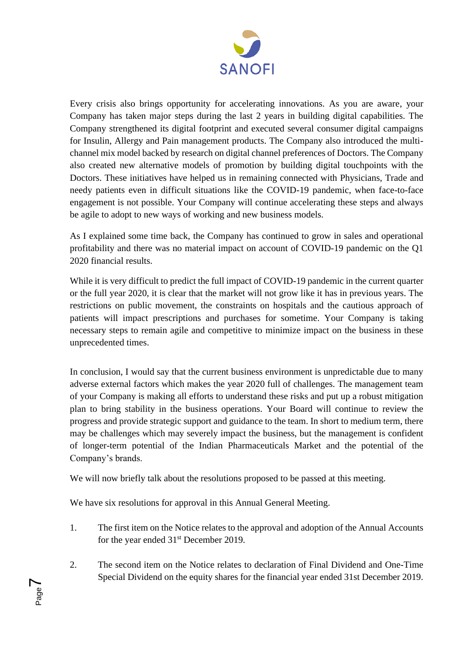

Every crisis also brings opportunity for accelerating innovations. As you are aware, your Company has taken major steps during the last 2 years in building digital capabilities. The Company strengthened its digital footprint and executed several consumer digital campaigns for Insulin, Allergy and Pain management products. The Company also introduced the multichannel mix model backed by research on digital channel preferences of Doctors. The Company also created new alternative models of promotion by building digital touchpoints with the Doctors. These initiatives have helped us in remaining connected with Physicians, Trade and needy patients even in difficult situations like the COVID-19 pandemic, when face-to-face engagement is not possible. Your Company will continue accelerating these steps and always be agile to adopt to new ways of working and new business models.

As I explained some time back, the Company has continued to grow in sales and operational profitability and there was no material impact on account of COVID-19 pandemic on the Q1 2020 financial results.

While it is very difficult to predict the full impact of COVID-19 pandemic in the current quarter or the full year 2020, it is clear that the market will not grow like it has in previous years. The restrictions on public movement, the constraints on hospitals and the cautious approach of patients will impact prescriptions and purchases for sometime. Your Company is taking necessary steps to remain agile and competitive to minimize impact on the business in these unprecedented times.

In conclusion, I would say that the current business environment is unpredictable due to many adverse external factors which makes the year 2020 full of challenges. The management team of your Company is making all efforts to understand these risks and put up a robust mitigation plan to bring stability in the business operations. Your Board will continue to review the progress and provide strategic support and guidance to the team. In short to medium term, there may be challenges which may severely impact the business, but the management is confident of longer-term potential of the Indian Pharmaceuticals Market and the potential of the Company's brands.

We will now briefly talk about the resolutions proposed to be passed at this meeting.

We have six resolutions for approval in this Annual General Meeting.

Page  $\blacktriangleright$ 

- 1. The first item on the Notice relates to the approval and adoption of the Annual Accounts for the year ended  $31<sup>st</sup>$  December 2019.
- 2. The second item on the Notice relates to declaration of Final Dividend and One-Time Special Dividend on the equity shares for the financial year ended 31st December 2019.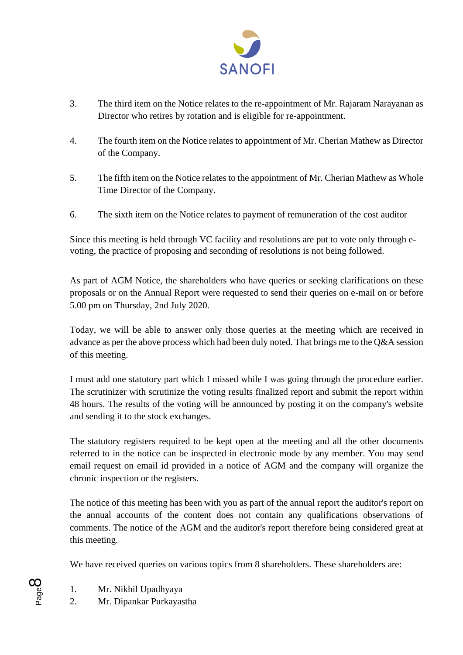

- 3. The third item on the Notice relates to the re-appointment of Mr. Rajaram Narayanan as Director who retires by rotation and is eligible for re-appointment.
- 4. The fourth item on the Notice relates to appointment of Mr. Cherian Mathew as Director of the Company.
- 5. The fifth item on the Notice relates to the appointment of Mr. Cherian Mathew as Whole Time Director of the Company.
- 6. The sixth item on the Notice relates to payment of remuneration of the cost auditor

Since this meeting is held through VC facility and resolutions are put to vote only through evoting, the practice of proposing and seconding of resolutions is not being followed.

As part of AGM Notice, the shareholders who have queries or seeking clarifications on these proposals or on the Annual Report were requested to send their queries on e-mail on or before 5.00 pm on Thursday, 2nd July 2020.

Today, we will be able to answer only those queries at the meeting which are received in advance as per the above process which had been duly noted. That brings me to the Q&A session of this meeting.

I must add one statutory part which I missed while I was going through the procedure earlier. The scrutinizer with scrutinize the voting results finalized report and submit the report within 48 hours. The results of the voting will be announced by posting it on the company's website and sending it to the stock exchanges.

The statutory registers required to be kept open at the meeting and all the other documents referred to in the notice can be inspected in electronic mode by any member. You may send email request on email id provided in a notice of AGM and the company will organize the chronic inspection or the registers.

The notice of this meeting has been with you as part of the annual report the auditor's report on the annual accounts of the content does not contain any qualifications observations of comments. The notice of the AGM and the auditor's report therefore being considered great at this meeting.

We have received queries on various topics from 8 shareholders. These shareholders are:

1. Mr. Nikhil Upadhyaya

Page  $\infty$ 

2. Mr. Dipankar Purkayastha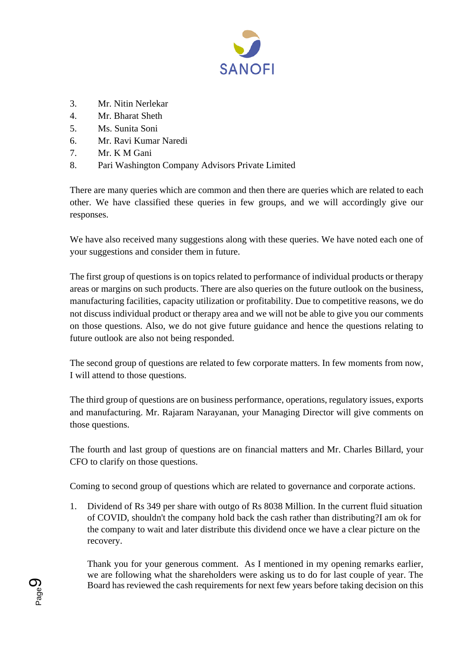

- 3. Mr. Nitin Nerlekar
- 4. Mr. Bharat Sheth
- 5. Ms. Sunita Soni
- 6. Mr. Ravi Kumar Naredi
- 7. Mr. K M Gani
- 8. Pari Washington Company Advisors Private Limited

There are many queries which are common and then there are queries which are related to each other. We have classified these queries in few groups, and we will accordingly give our responses.

We have also received many suggestions along with these queries. We have noted each one of your suggestions and consider them in future.

The first group of questions is on topics related to performance of individual products or therapy areas or margins on such products. There are also queries on the future outlook on the business, manufacturing facilities, capacity utilization or profitability. Due to competitive reasons, we do not discuss individual product or therapy area and we will not be able to give you our comments on those questions. Also, we do not give future guidance and hence the questions relating to future outlook are also not being responded.

The second group of questions are related to few corporate matters. In few moments from now, I will attend to those questions.

The third group of questions are on business performance, operations, regulatory issues, exports and manufacturing. Mr. Rajaram Narayanan, your Managing Director will give comments on those questions.

The fourth and last group of questions are on financial matters and Mr. Charles Billard, your CFO to clarify on those questions.

Coming to second group of questions which are related to governance and corporate actions.

1. Dividend of Rs 349 per share with outgo of Rs 8038 Million. In the current fluid situation of COVID, shouldn't the company hold back the cash rather than distributing?I am ok for the company to wait and later distribute this dividend once we have a clear picture on the recovery.

Thank you for your generous comment. As I mentioned in my opening remarks earlier, we are following what the shareholders were asking us to do for last couple of year. The Board has reviewed the cash requirements for next few years before taking decision on this

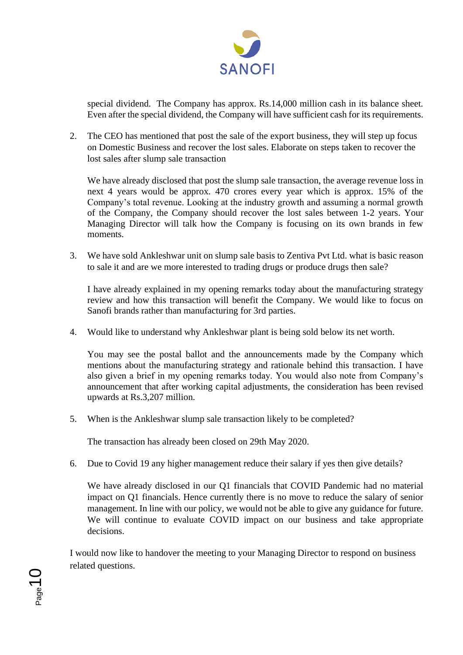

special dividend. The Company has approx. Rs.14,000 million cash in its balance sheet. Even after the special dividend, the Company will have sufficient cash for its requirements.

2. The CEO has mentioned that post the sale of the export business, they will step up focus on Domestic Business and recover the lost sales. Elaborate on steps taken to recover the lost sales after slump sale transaction

We have already disclosed that post the slump sale transaction, the average revenue loss in next 4 years would be approx. 470 crores every year which is approx. 15% of the Company's total revenue. Looking at the industry growth and assuming a normal growth of the Company, the Company should recover the lost sales between 1-2 years. Your Managing Director will talk how the Company is focusing on its own brands in few moments.

3. We have sold Ankleshwar unit on slump sale basis to Zentiva Pvt Ltd. what is basic reason to sale it and are we more interested to trading drugs or produce drugs then sale?

I have already explained in my opening remarks today about the manufacturing strategy review and how this transaction will benefit the Company. We would like to focus on Sanofi brands rather than manufacturing for 3rd parties.

4. Would like to understand why Ankleshwar plant is being sold below its net worth.

You may see the postal ballot and the announcements made by the Company which mentions about the manufacturing strategy and rationale behind this transaction. I have also given a brief in my opening remarks today. You would also note from Company's announcement that after working capital adjustments, the consideration has been revised upwards at Rs.3,207 million.

5. When is the Ankleshwar slump sale transaction likely to be completed?

The transaction has already been closed on 29th May 2020.

6. Due to Covid 19 any higher management reduce their salary if yes then give details?

We have already disclosed in our Q1 financials that COVID Pandemic had no material impact on Q1 financials. Hence currently there is no move to reduce the salary of senior management. In line with our policy, we would not be able to give any guidance for future. We will continue to evaluate COVID impact on our business and take appropriate decisions.

I would now like to handover the meeting to your Managing Director to respond on business related questions.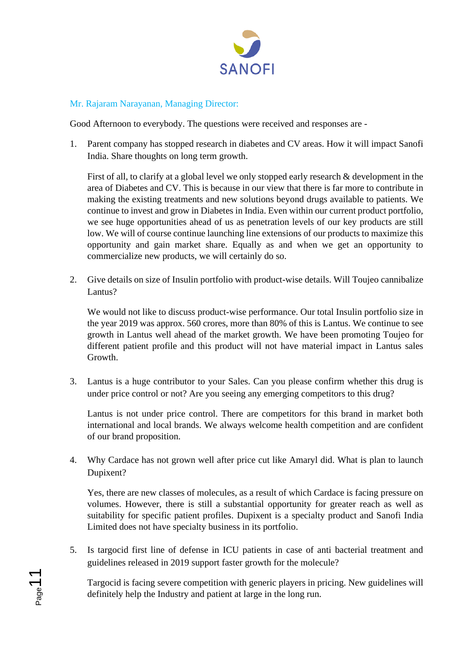

### Mr. Rajaram Narayanan, Managing Director:

Good Afternoon to everybody. The questions were received and responses are -

1. Parent company has stopped research in diabetes and CV areas. How it will impact Sanofi India. Share thoughts on long term growth.

First of all, to clarify at a global level we only stopped early research & development in the area of Diabetes and CV. This is because in our view that there is far more to contribute in making the existing treatments and new solutions beyond drugs available to patients. We continue to invest and grow in Diabetes in India. Even within our current product portfolio, we see huge opportunities ahead of us as penetration levels of our key products are still low. We will of course continue launching line extensions of our products to maximize this opportunity and gain market share. Equally as and when we get an opportunity to commercialize new products, we will certainly do so.

2. Give details on size of Insulin portfolio with product-wise details. Will Toujeo cannibalize Lantus?

We would not like to discuss product-wise performance. Our total Insulin portfolio size in the year 2019 was approx. 560 crores, more than 80% of this is Lantus. We continue to see growth in Lantus well ahead of the market growth. We have been promoting Toujeo for different patient profile and this product will not have material impact in Lantus sales Growth.

3. Lantus is a huge contributor to your Sales. Can you please confirm whether this drug is under price control or not? Are you seeing any emerging competitors to this drug?

Lantus is not under price control. There are competitors for this brand in market both international and local brands. We always welcome health competition and are confident of our brand proposition.

4. Why Cardace has not grown well after price cut like Amaryl did. What is plan to launch Dupixent?

Yes, there are new classes of molecules, as a result of which Cardace is facing pressure on volumes. However, there is still a substantial opportunity for greater reach as well as suitability for specific patient profiles. Dupixent is a specialty product and Sanofi India Limited does not have specialty business in its portfolio.

5. Is targocid first line of defense in ICU patients in case of anti bacterial treatment and guidelines released in 2019 support faster growth for the molecule?

Targocid is facing severe competition with generic players in pricing. New guidelines will definitely help the Industry and patient at large in the long run.

Page11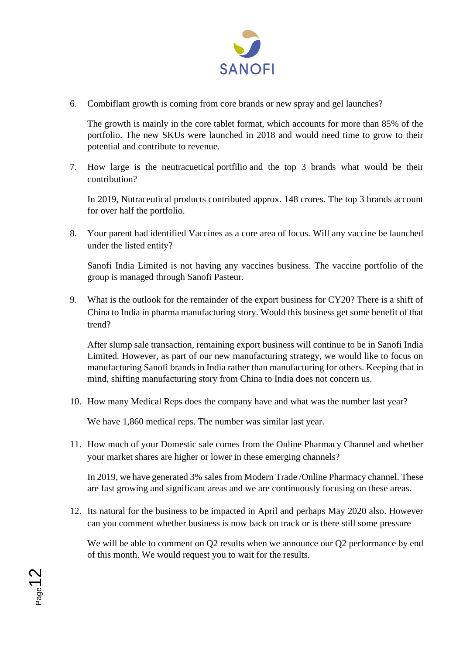

6. Combiflam growth is coming from core brands or new spray and gel launches?

The growth is mainly in the core tablet format, which accounts for more than 85% of the portfolio. The new SKUs were launched in 2018 and would need time to grow to their potential and contribute to revenue.

7. How large is the neutracuetical portfilio and the top 3 brands what would be their contribution?

In 2019, Nutraceutical products contributed approx. 148 crores. The top 3 brands account for over half the portfolio.

8. Your parent had identified Vaccines as a core area of focus. Will any vaccine be launched under the listed entity?

Sanofi India Limited is not having any vaccines business. The vaccine portfolio of the group is managed through Sanofi Pasteur.

9. What is the outlook for the remainder of the export business for CY20? There is a shift of China to India in pharma manufacturing story. Would this business get some benefit of that trend?

After slump sale transaction, remaining export business will continue to be in Sanofi India Limited. However, as part of our new manufacturing strategy, we would like to focus on manufacturing Sanofi brands in India rather than manufacturing for others. Keeping that in mind, shifting manufacturing story from China to India does not concern us.

10. How many Medical Reps does the company have and what was the number last year?

We have 1,860 medical reps. The number was similar last year.

11. How much of your Domestic sale comes from the Online Pharmacy Channel and whether your market shares are higher or lower in these emerging channels?

In 2019, we have generated 3% sales from Modern Trade /Online Pharmacy channel. These are fast growing and significant areas and we are continuously focusing on these areas.

12. Its natural for the business to be impacted in April and perhaps May 2020 also. However can you comment whether business is now back on track or is there still some pressure

We will be able to comment on Q2 results when we announce our Q2 performance by end of this month. We would request you to wait for the results.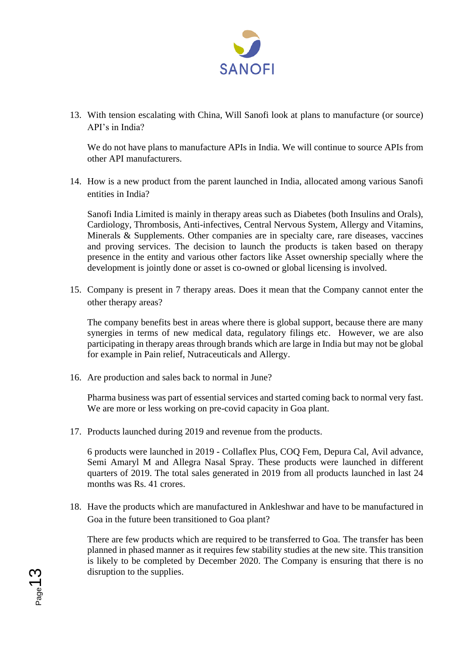

13. With tension escalating with China, Will Sanofi look at plans to manufacture (or source) API's in India?

We do not have plans to manufacture APIs in India. We will continue to source APIs from other API manufacturers.

14. How is a new product from the parent launched in India, allocated among various Sanofi entities in India?

Sanofi India Limited is mainly in therapy areas such as Diabetes (both Insulins and Orals), Cardiology, Thrombosis, Anti-infectives, Central Nervous System, Allergy and Vitamins, Minerals & Supplements. Other companies are in specialty care, rare diseases, vaccines and proving services. The decision to launch the products is taken based on therapy presence in the entity and various other factors like Asset ownership specially where the development is jointly done or asset is co-owned or global licensing is involved.

15. Company is present in 7 therapy areas. Does it mean that the Company cannot enter the other therapy areas?

The company benefits best in areas where there is global support, because there are many synergies in terms of new medical data, regulatory filings etc. However, we are also participating in therapy areas through brands which are large in India but may not be global for example in Pain relief, Nutraceuticals and Allergy.

16. Are production and sales back to normal in June?

Page13

Pharma business was part of essential services and started coming back to normal very fast. We are more or less working on pre-covid capacity in Goa plant.

17. Products launched during 2019 and revenue from the products.

6 products were launched in 2019 - Collaflex Plus, COQ Fem, Depura Cal, Avil advance, Semi Amaryl M and Allegra Nasal Spray. These products were launched in different quarters of 2019. The total sales generated in 2019 from all products launched in last 24 months was Rs. 41 crores.

18. Have the products which are manufactured in Ankleshwar and have to be manufactured in Goa in the future been transitioned to Goa plant?

There are few products which are required to be transferred to Goa. The transfer has been planned in phased manner as it requires few stability studies at the new site. This transition is likely to be completed by December 2020. The Company is ensuring that there is no disruption to the supplies.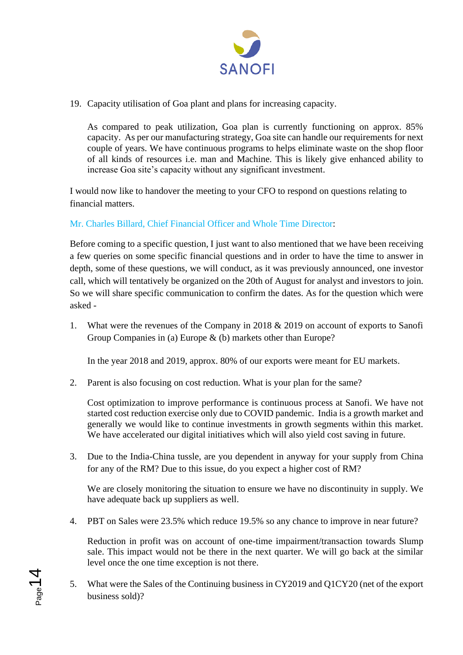

19. Capacity utilisation of Goa plant and plans for increasing capacity.

As compared to peak utilization, Goa plan is currently functioning on approx. 85% capacity. As per our manufacturing strategy, Goa site can handle our requirements for next couple of years. We have continuous programs to helps eliminate waste on the shop floor of all kinds of resources i.e. man and Machine. This is likely give enhanced ability to increase Goa site's capacity without any significant investment.

I would now like to handover the meeting to your CFO to respond on questions relating to financial matters.

# Mr. Charles Billard, Chief Financial Officer and Whole Time Director:

Before coming to a specific question, I just want to also mentioned that we have been receiving a few queries on some specific financial questions and in order to have the time to answer in depth, some of these questions, we will conduct, as it was previously announced, one investor call, which will tentatively be organized on the 20th of August for analyst and investors to join. So we will share specific communication to confirm the dates. As for the question which were asked -

1. What were the revenues of the Company in 2018 & 2019 on account of exports to Sanofi Group Companies in (a) Europe & (b) markets other than Europe?

In the year 2018 and 2019, approx. 80% of our exports were meant for EU markets.

2. Parent is also focusing on cost reduction. What is your plan for the same?

Cost optimization to improve performance is continuous process at Sanofi. We have not started cost reduction exercise only due to COVID pandemic. India is a growth market and generally we would like to continue investments in growth segments within this market. We have accelerated our digital initiatives which will also yield cost saving in future.

3. Due to the India-China tussle, are you dependent in anyway for your supply from China for any of the RM? Due to this issue, do you expect a higher cost of RM?

We are closely monitoring the situation to ensure we have no discontinuity in supply. We have adequate back up suppliers as well.

4. PBT on Sales were 23.5% which reduce 19.5% so any chance to improve in near future?

Reduction in profit was on account of one-time impairment/transaction towards Slump sale. This impact would not be there in the next quarter. We will go back at the similar level once the one time exception is not there.

5. What were the Sales of the Continuing business in CY2019 and Q1CY20 (net of the export business sold)?

Page 14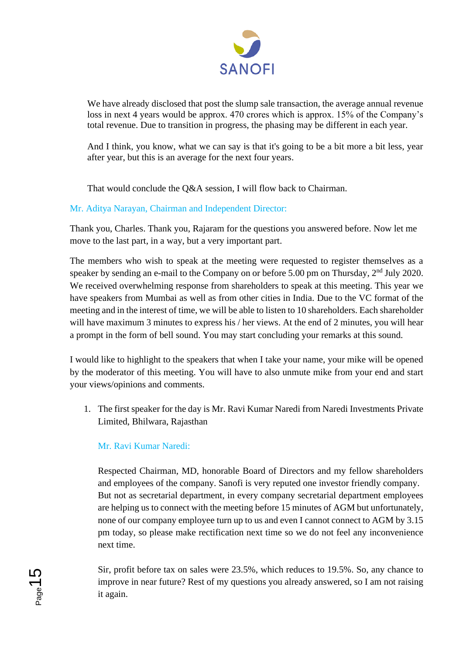

We have already disclosed that post the slump sale transaction, the average annual revenue loss in next 4 years would be approx. 470 crores which is approx. 15% of the Company's total revenue. Due to transition in progress, the phasing may be different in each year.

And I think, you know, what we can say is that it's going to be a bit more a bit less, year after year, but this is an average for the next four years.

That would conclude the Q&A session, I will flow back to Chairman.

# Mr. Aditya Narayan, Chairman and Independent Director:

Thank you, Charles. Thank you, Rajaram for the questions you answered before. Now let me move to the last part, in a way, but a very important part.

The members who wish to speak at the meeting were requested to register themselves as a speaker by sending an e-mail to the Company on or before 5.00 pm on Thursday, 2<sup>nd</sup> July 2020. We received overwhelming response from shareholders to speak at this meeting. This year we have speakers from Mumbai as well as from other cities in India. Due to the VC format of the meeting and in the interest of time, we will be able to listen to 10 shareholders. Each shareholder will have maximum 3 minutes to express his / her views. At the end of 2 minutes, you will hear a prompt in the form of bell sound. You may start concluding your remarks at this sound.

I would like to highlight to the speakers that when I take your name, your mike will be opened by the moderator of this meeting. You will have to also unmute mike from your end and start your views/opinions and comments.

1. The first speaker for the day is Mr. Ravi Kumar Naredi from Naredi Investments Private Limited, Bhilwara, Rajasthan

# Mr. Ravi Kumar Naredi:

Respected Chairman, MD, honorable Board of Directors and my fellow shareholders and employees of the company. Sanofi is very reputed one investor friendly company. But not as secretarial department, in every company secretarial department employees are helping us to connect with the meeting before 15 minutes of AGM but unfortunately, none of our company employee turn up to us and even I cannot connect to AGM by 3.15 pm today, so please make rectification next time so we do not feel any inconvenience next time.

Sir, profit before tax on sales were 23.5%, which reduces to 19.5%. So, any chance to improve in near future? Rest of my questions you already answered, so I am not raising it again.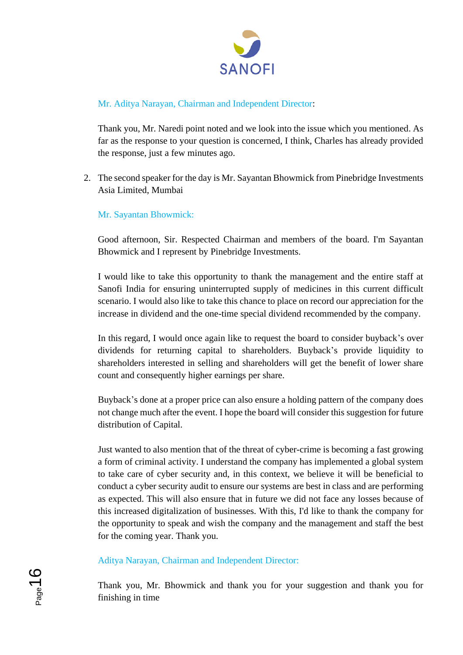

# Mr. Aditya Narayan, Chairman and Independent Director:

Thank you, Mr. Naredi point noted and we look into the issue which you mentioned. As far as the response to your question is concerned, I think, Charles has already provided the response, just a few minutes ago.

2. The second speaker for the day is Mr. Sayantan Bhowmick from Pinebridge Investments Asia Limited, Mumbai

# Mr. Sayantan Bhowmick:

Good afternoon, Sir. Respected Chairman and members of the board. I'm Sayantan Bhowmick and I represent by Pinebridge Investments.

I would like to take this opportunity to thank the management and the entire staff at Sanofi India for ensuring uninterrupted supply of medicines in this current difficult scenario. I would also like to take this chance to place on record our appreciation for the increase in dividend and the one-time special dividend recommended by the company.

In this regard, I would once again like to request the board to consider buyback's over dividends for returning capital to shareholders. Buyback's provide liquidity to shareholders interested in selling and shareholders will get the benefit of lower share count and consequently higher earnings per share.

Buyback's done at a proper price can also ensure a holding pattern of the company does not change much after the event. I hope the board will consider this suggestion for future distribution of Capital.

Just wanted to also mention that of the threat of cyber-crime is becoming a fast growing a form of criminal activity. I understand the company has implemented a global system to take care of cyber security and, in this context, we believe it will be beneficial to conduct a cyber security audit to ensure our systems are best in class and are performing as expected. This will also ensure that in future we did not face any losses because of this increased digitalization of businesses. With this, I'd like to thank the company for the opportunity to speak and wish the company and the management and staff the best for the coming year. Thank you.

Aditya Narayan, Chairman and Independent Director:

Thank you, Mr. Bhowmick and thank you for your suggestion and thank you for finishing in time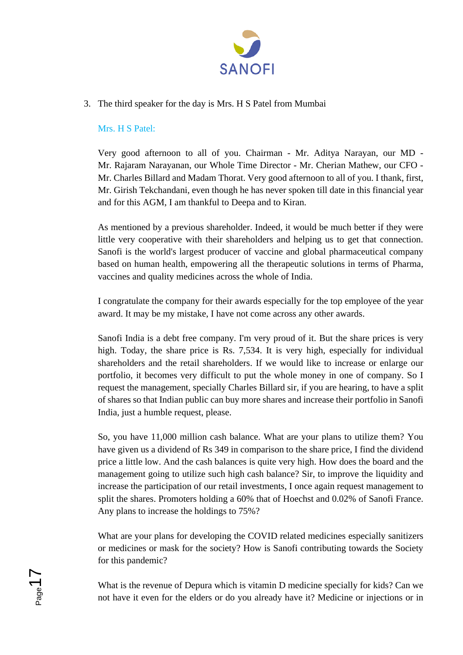

### 3. The third speaker for the day is Mrs. H S Patel from Mumbai

#### Mrs. H S Patel:

Very good afternoon to all of you. Chairman - Mr. Aditya Narayan, our MD - Mr. Rajaram Narayanan, our Whole Time Director - Mr. Cherian Mathew, our CFO - Mr. Charles Billard and Madam Thorat. Very good afternoon to all of you. I thank, first, Mr. Girish Tekchandani, even though he has never spoken till date in this financial year and for this AGM, I am thankful to Deepa and to Kiran.

As mentioned by a previous shareholder. Indeed, it would be much better if they were little very cooperative with their shareholders and helping us to get that connection. Sanofi is the world's largest producer of vaccine and global pharmaceutical company based on human health, empowering all the therapeutic solutions in terms of Pharma, vaccines and quality medicines across the whole of India.

I congratulate the company for their awards especially for the top employee of the year award. It may be my mistake, I have not come across any other awards.

Sanofi India is a debt free company. I'm very proud of it. But the share prices is very high. Today, the share price is Rs. 7,534. It is very high, especially for individual shareholders and the retail shareholders. If we would like to increase or enlarge our portfolio, it becomes very difficult to put the whole money in one of company. So I request the management, specially Charles Billard sir, if you are hearing, to have a split of shares so that Indian public can buy more shares and increase their portfolio in Sanofi India, just a humble request, please.

So, you have 11,000 million cash balance. What are your plans to utilize them? You have given us a dividend of Rs 349 in comparison to the share price, I find the dividend price a little low. And the cash balances is quite very high. How does the board and the management going to utilize such high cash balance? Sir, to improve the liquidity and increase the participation of our retail investments, I once again request management to split the shares. Promoters holding a 60% that of Hoechst and 0.02% of Sanofi France. Any plans to increase the holdings to 75%?

What are your plans for developing the COVID related medicines especially sanitizers or medicines or mask for the society? How is Sanofi contributing towards the Society for this pandemic?

What is the revenue of Depura which is vitamin D medicine specially for kids? Can we not have it even for the elders or do you already have it? Medicine or injections or in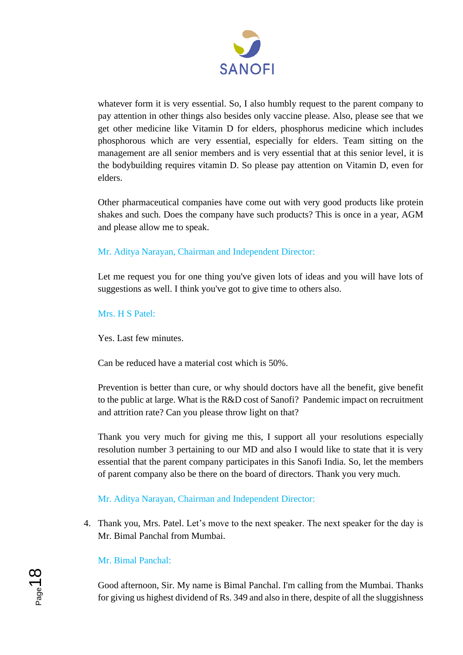

whatever form it is very essential. So, I also humbly request to the parent company to pay attention in other things also besides only vaccine please. Also, please see that we get other medicine like Vitamin D for elders, phosphorus medicine which includes phosphorous which are very essential, especially for elders. Team sitting on the management are all senior members and is very essential that at this senior level, it is the bodybuilding requires vitamin D. So please pay attention on Vitamin D, even for elders.

Other pharmaceutical companies have come out with very good products like protein shakes and such. Does the company have such products? This is once in a year, AGM and please allow me to speak.

# Mr. Aditya Narayan, Chairman and Independent Director:

Let me request you for one thing you've given lots of ideas and you will have lots of suggestions as well. I think you've got to give time to others also.

#### Mrs. H S Patel:

Yes. Last few minutes.

Can be reduced have a material cost which is 50%.

Prevention is better than cure, or why should doctors have all the benefit, give benefit to the public at large. What is the R&D cost of Sanofi? Pandemic impact on recruitment and attrition rate? Can you please throw light on that?

Thank you very much for giving me this, I support all your resolutions especially resolution number 3 pertaining to our MD and also I would like to state that it is very essential that the parent company participates in this Sanofi India. So, let the members of parent company also be there on the board of directors. Thank you very much.

### Mr. Aditya Narayan, Chairman and Independent Director:

4. Thank you, Mrs. Patel. Let's move to the next speaker. The next speaker for the day is Mr. Bimal Panchal from Mumbai.

### Mr. Bimal Panchal:

Good afternoon, Sir. My name is Bimal Panchal. I'm calling from the Mumbai. Thanks for giving us highest dividend of Rs. 349 and also in there, despite of all the sluggishness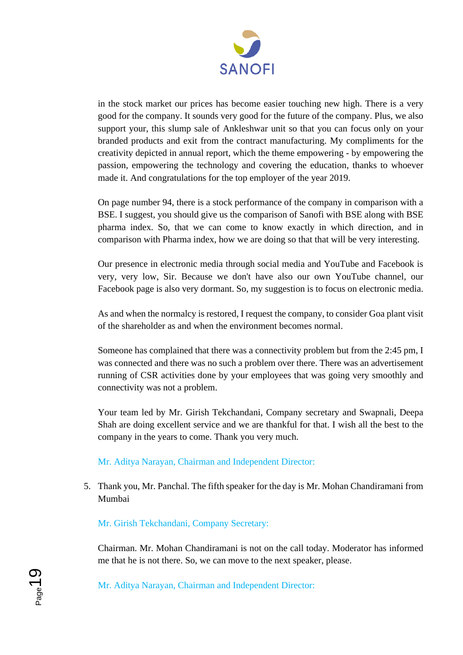

in the stock market our prices has become easier touching new high. There is a very good for the company. It sounds very good for the future of the company. Plus, we also support your, this slump sale of Ankleshwar unit so that you can focus only on your branded products and exit from the contract manufacturing. My compliments for the creativity depicted in annual report, which the theme empowering - by empowering the passion, empowering the technology and covering the education, thanks to whoever made it. And congratulations for the top employer of the year 2019.

On page number 94, there is a stock performance of the company in comparison with a BSE. I suggest, you should give us the comparison of Sanofi with BSE along with BSE pharma index. So, that we can come to know exactly in which direction, and in comparison with Pharma index, how we are doing so that that will be very interesting.

Our presence in electronic media through social media and YouTube and Facebook is very, very low, Sir. Because we don't have also our own YouTube channel, our Facebook page is also very dormant. So, my suggestion is to focus on electronic media.

As and when the normalcy is restored, I request the company, to consider Goa plant visit of the shareholder as and when the environment becomes normal.

Someone has complained that there was a connectivity problem but from the 2:45 pm, I was connected and there was no such a problem over there. There was an advertisement running of CSR activities done by your employees that was going very smoothly and connectivity was not a problem.

Your team led by Mr. Girish Tekchandani, Company secretary and Swapnali, Deepa Shah are doing excellent service and we are thankful for that. I wish all the best to the company in the years to come. Thank you very much.

Mr. Aditya Narayan, Chairman and Independent Director:

5. Thank you, Mr. Panchal. The fifth speaker for the day is Mr. Mohan Chandiramani from Mumbai

Mr. Girish Tekchandani, Company Secretary:

Chairman. Mr. Mohan Chandiramani is not on the call today. Moderator has informed me that he is not there. So, we can move to the next speaker, please.

Mr. Aditya Narayan, Chairman and Independent Director: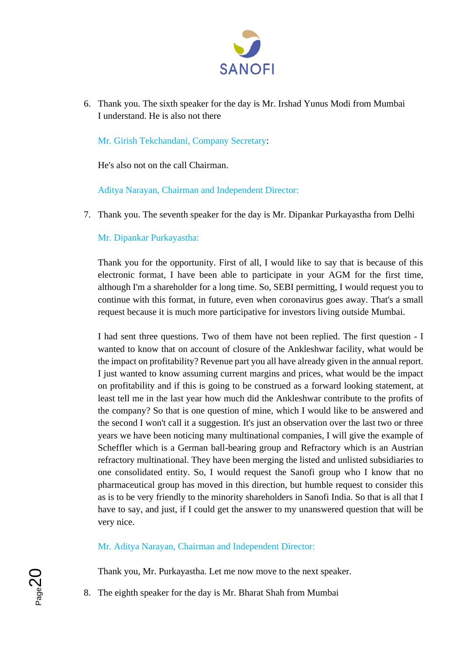

6. Thank you. The sixth speaker for the day is Mr. Irshad Yunus Modi from Mumbai I understand. He is also not there

Mr. Girish Tekchandani, Company Secretary:

He's also not on the call Chairman.

Aditya Narayan, Chairman and Independent Director:

7. Thank you. The seventh speaker for the day is Mr. Dipankar Purkayastha from Delhi

Mr. Dipankar Purkayastha:

Thank you for the opportunity. First of all, I would like to say that is because of this electronic format, I have been able to participate in your AGM for the first time, although I'm a shareholder for a long time. So, SEBI permitting, I would request you to continue with this format, in future, even when coronavirus goes away. That's a small request because it is much more participative for investors living outside Mumbai.

I had sent three questions. Two of them have not been replied. The first question - I wanted to know that on account of closure of the Ankleshwar facility, what would be the impact on profitability? Revenue part you all have already given in the annual report. I just wanted to know assuming current margins and prices, what would be the impact on profitability and if this is going to be construed as a forward looking statement, at least tell me in the last year how much did the Ankleshwar contribute to the profits of the company? So that is one question of mine, which I would like to be answered and the second I won't call it a suggestion. It's just an observation over the last two or three years we have been noticing many multinational companies, I will give the example of Scheffler which is a German ball-bearing group and Refractory which is an Austrian refractory multinational. They have been merging the listed and unlisted subsidiaries to one consolidated entity. So, I would request the Sanofi group who I know that no pharmaceutical group has moved in this direction, but humble request to consider this as is to be very friendly to the minority shareholders in Sanofi India. So that is all that I have to say, and just, if I could get the answer to my unanswered question that will be very nice.

Mr. Aditya Narayan, Chairman and Independent Director:

Thank you, Mr. Purkayastha. Let me now move to the next speaker.

8. The eighth speaker for the day is Mr. Bharat Shah from Mumbai

 $P<sub>age2</sub>$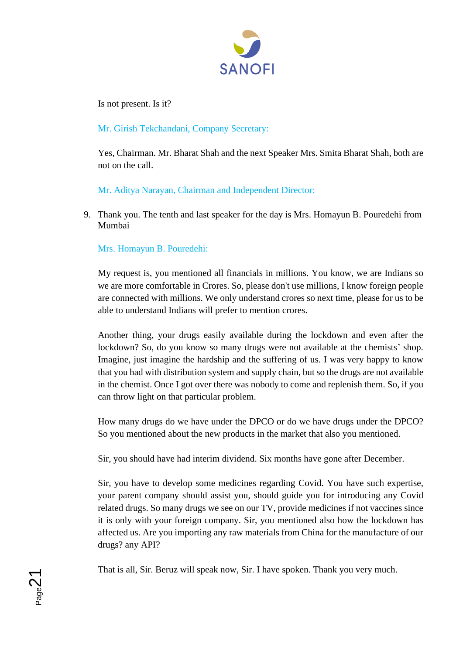

Is not present. Is it?

Mr. Girish Tekchandani, Company Secretary:

Yes, Chairman. Mr. Bharat Shah and the next Speaker Mrs. Smita Bharat Shah, both are not on the call.

Mr. Aditya Narayan, Chairman and Independent Director:

9. Thank you. The tenth and last speaker for the day is Mrs. Homayun B. Pouredehi from Mumbai

# Mrs. Homayun B. Pouredehi:

**N**<br>Page21

My request is, you mentioned all financials in millions. You know, we are Indians so we are more comfortable in Crores. So, please don't use millions, I know foreign people are connected with millions. We only understand crores so next time, please for us to be able to understand Indians will prefer to mention crores.

Another thing, your drugs easily available during the lockdown and even after the lockdown? So, do you know so many drugs were not available at the chemists' shop. Imagine, just imagine the hardship and the suffering of us. I was very happy to know that you had with distribution system and supply chain, but so the drugs are not available in the chemist. Once I got over there was nobody to come and replenish them. So, if you can throw light on that particular problem.

How many drugs do we have under the DPCO or do we have drugs under the DPCO? So you mentioned about the new products in the market that also you mentioned.

Sir, you should have had interim dividend. Six months have gone after December.

Sir, you have to develop some medicines regarding Covid. You have such expertise, your parent company should assist you, should guide you for introducing any Covid related drugs. So many drugs we see on our TV, provide medicines if not vaccines since it is only with your foreign company. Sir, you mentioned also how the lockdown has affected us. Are you importing any raw materials from China for the manufacture of our drugs? any API?

That is all, Sir. Beruz will speak now, Sir. I have spoken. Thank you very much.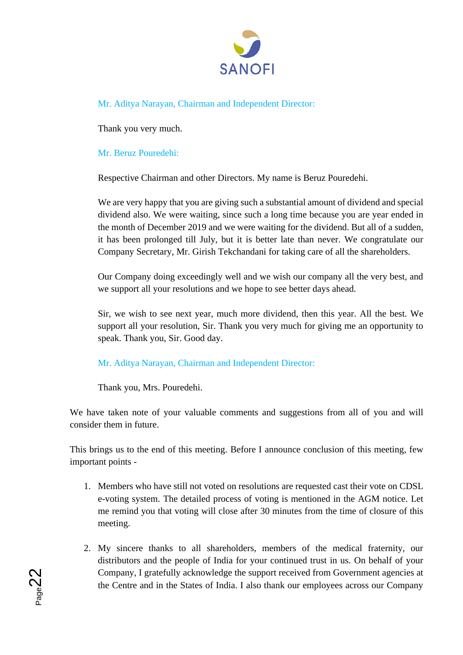

Mr. Aditya Narayan, Chairman and Independent Director:

Thank you very much.

# Mr. Beruz Pouredehi:

Respective Chairman and other Directors. My name is Beruz Pouredehi.

We are very happy that you are giving such a substantial amount of dividend and special dividend also. We were waiting, since such a long time because you are year ended in the month of December 2019 and we were waiting for the dividend. But all of a sudden, it has been prolonged till July, but it is better late than never. We congratulate our Company Secretary, Mr. Girish Tekchandani for taking care of all the shareholders.

Our Company doing exceedingly well and we wish our company all the very best, and we support all your resolutions and we hope to see better days ahead.

Sir, we wish to see next year, much more dividend, then this year. All the best. We support all your resolution, Sir. Thank you very much for giving me an opportunity to speak. Thank you, Sir. Good day.

Mr. Aditya Narayan, Chairman and Independent Director:

Thank you, Mrs. Pouredehi.

We have taken note of your valuable comments and suggestions from all of you and will consider them in future.

This brings us to the end of this meeting. Before I announce conclusion of this meeting, few important points -

- 1. Members who have still not voted on resolutions are requested cast their vote on CDSL e-voting system. The detailed process of voting is mentioned in the AGM notice. Let me remind you that voting will close after 30 minutes from the time of closure of this meeting.
- 2. My sincere thanks to all shareholders, members of the medical fraternity, our distributors and the people of India for your continued trust in us. On behalf of your Company, I gratefully acknowledge the support received from Government agencies at the Centre and in the States of India. I also thank our employees across our Company